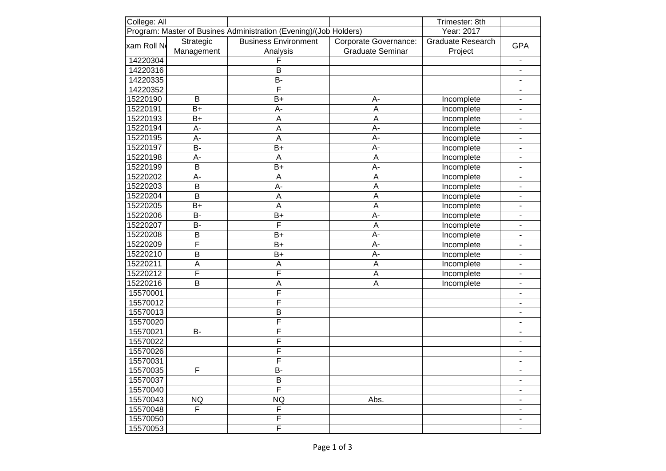| College: All                                                                    |                |                             |                         | Trimester: 8th           |                          |
|---------------------------------------------------------------------------------|----------------|-----------------------------|-------------------------|--------------------------|--------------------------|
| Program: Master of Busines Administration (Evening)/(Job Holders)<br>Year: 2017 |                |                             |                         |                          |                          |
| xam Roll No                                                                     | Strategic      | <b>Business Environment</b> | Corporate Governance:   | <b>Graduate Research</b> |                          |
|                                                                                 | Management     | Analysis                    | <b>Graduate Seminar</b> | Project                  | <b>GPA</b>               |
| 14220304                                                                        |                | F                           |                         |                          |                          |
| 14220316                                                                        |                | B                           |                         |                          | $\overline{\phantom{0}}$ |
| 14220335                                                                        |                | B-                          |                         |                          | $\overline{\phantom{0}}$ |
| 14220352                                                                        |                | F                           |                         |                          | $\overline{\phantom{0}}$ |
| 15220190                                                                        | B              | $B+$                        | A-                      | Incomplete               | $\overline{\phantom{0}}$ |
| 15220191                                                                        | $B+$           | A-                          | A                       | Incomplete               | ٠                        |
| 15220193                                                                        | $B+$           | A                           | A                       | Incomplete               | $\overline{\phantom{0}}$ |
| 15220194                                                                        | A-             | $\mathsf A$                 | A-                      | Incomplete               | ٠                        |
| 15220195                                                                        | A-             | $\overline{A}$              | A-                      | Incomplete               | ٠                        |
| 15220197                                                                        | <b>B-</b>      | $B+$                        | A-                      | Incomplete               | ÷,                       |
| 15220198                                                                        | A-             | $\overline{A}$              | A                       | Incomplete               | ÷,                       |
| 15220199                                                                        | B              | $B+$                        | A-                      | Incomplete               | ä,                       |
| 15220202                                                                        | A-             | A                           | A                       | Incomplete               | ä,                       |
| 15220203                                                                        | $\overline{B}$ | A-                          | A                       | Incomplete               | ä,                       |
| 15220204                                                                        | B              | $\overline{A}$              | A                       | Incomplete               | $\overline{\phantom{0}}$ |
| 15220205                                                                        | $B+$           | $\overline{A}$              | A                       | Incomplete               | ÷                        |
| 15220206                                                                        | <b>B-</b>      | $B+$                        | A-                      | Incomplete               | ÷                        |
| 15220207                                                                        | <b>B-</b>      | F                           | A                       | Incomplete               | $\overline{\phantom{0}}$ |
| 15220208                                                                        | $\mathsf B$    | $B+$                        | A-                      | Incomplete               | $\overline{\phantom{0}}$ |
| 15220209                                                                        | F              | $B+$                        | A-                      | Incomplete               | $\frac{1}{2}$            |
| 15220210                                                                        | $\overline{B}$ | $B+$                        | A-                      | Incomplete               | $\overline{\phantom{0}}$ |
| 15220211                                                                        | A              | A                           | A                       | Incomplete               |                          |
| 15220212                                                                        | F              | F                           | A                       | Incomplete               | $\frac{1}{2}$            |
| 15220216                                                                        | B              | $\boldsymbol{\mathsf{A}}$   | A                       | Incomplete               | $\overline{\phantom{0}}$ |
| 15570001                                                                        |                | F                           |                         |                          | $\overline{\phantom{0}}$ |
| 15570012                                                                        |                | F                           |                         |                          | $\overline{\phantom{0}}$ |
| 15570013                                                                        |                | B                           |                         |                          | ٠                        |
| 15570020                                                                        |                | F                           |                         |                          | $\overline{\phantom{0}}$ |
| 15570021                                                                        | <b>B-</b>      | F                           |                         |                          | $\overline{\phantom{0}}$ |
| 15570022                                                                        |                | F                           |                         |                          | $\overline{\phantom{0}}$ |
| 15570026                                                                        |                | F                           |                         |                          |                          |
| 15570031                                                                        |                | F                           |                         |                          |                          |
| 15570035                                                                        | F              | B-                          |                         |                          |                          |
| 15570037                                                                        |                | B                           |                         |                          |                          |
| 15570040                                                                        |                | $\overline{F}$              |                         |                          |                          |
| 15570043                                                                        | <b>NQ</b>      | <b>NQ</b>                   | Abs.                    |                          |                          |
| 15570048                                                                        | F              | F                           |                         |                          |                          |
| 15570050                                                                        |                | F                           |                         |                          |                          |
| 15570053                                                                        |                | $\overline{\mathsf{F}}$     |                         |                          |                          |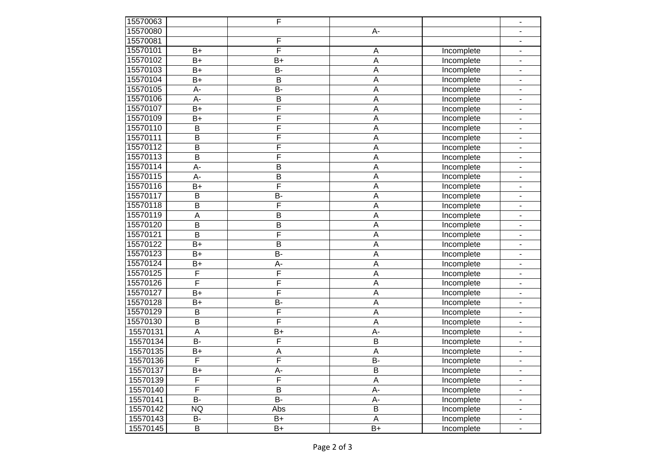| 15570063 |                | F                       |                         |                   | $\frac{1}{2}$            |
|----------|----------------|-------------------------|-------------------------|-------------------|--------------------------|
| 15570080 |                |                         | A-                      |                   | -                        |
| 15570081 |                | F                       |                         |                   | $\overline{\phantom{0}}$ |
| 15570101 | $B+$           | F                       | A                       | Incomplete        | $\overline{\phantom{0}}$ |
| 15570102 | $B+$           | $B+$                    | A                       | Incomplete        | $\overline{\phantom{0}}$ |
| 15570103 | $B+$           | <b>B-</b>               | A                       | Incomplete        | $\overline{\phantom{0}}$ |
| 15570104 | $B+$           | B                       | A                       | Incomplete        | $\overline{\phantom{0}}$ |
| 15570105 | A-             | <b>B-</b>               | A                       | Incomplete        | $\overline{\phantom{0}}$ |
| 15570106 | A-             | B                       | A                       | Incomplete        | $\overline{\phantom{0}}$ |
| 15570107 | $B+$           | $\overline{\mathsf{F}}$ | A                       | Incomplete        | $\overline{\phantom{0}}$ |
| 15570109 | $B+$           | $\overline{F}$          | A                       | Incomplete        | $\overline{\phantom{0}}$ |
| 15570110 | B              | F                       | A                       | Incomplete        | $\overline{\phantom{0}}$ |
| 15570111 | B              | F                       | A                       | Incomplete        | -                        |
| 15570112 | B              | F                       | A                       | Incomplete        | -                        |
| 15570113 | B              | F                       | A                       | Incomplete        | -                        |
| 15570114 | A-             | B                       | A                       | Incomplete        | $\overline{\phantom{0}}$ |
| 15570115 | A-             | $\overline{B}$          | A                       | Incomplete        | $\overline{\phantom{0}}$ |
| 15570116 | $B+$           | F                       | A                       | Incomplete        | $\overline{\phantom{0}}$ |
| 15570117 | B              | <b>B-</b>               | A                       | Incomplete        | -                        |
| 15570118 | B              | F                       | A                       | Incomplete        | $\overline{\phantom{0}}$ |
| 15570119 | A              | B                       | A                       | Incomplete        | $\frac{1}{2}$            |
| 15570120 | B              | B                       | $\overline{A}$          | Incomplete        | -                        |
| 15570121 | B              | F                       | A                       | Incomplete        | -                        |
| 15570122 | $B+$           | B                       | A                       | Incomplete        | $\frac{1}{2}$            |
| 15570123 | $B+$           | <b>B-</b>               | A                       | Incomplete        | $\overline{\phantom{0}}$ |
| 15570124 | $B+$           | А-                      | A                       | Incomplete        | -                        |
| 15570125 | F              | F                       | A                       | Incomplete        | $\overline{\phantom{0}}$ |
| 15570126 | F              | F                       | A                       | Incomplete        | $\overline{\phantom{0}}$ |
| 15570127 | $B+$           | F                       | A                       | Incomplete        | -                        |
| 15570128 | $B+$           | <b>B-</b>               | A                       | Incomplete        | $\overline{\phantom{0}}$ |
| 15570129 | B              | F                       | A                       | <b>Incomplete</b> | -                        |
| 15570130 | B              | F                       | $\overline{A}$          | Incomplete        | -                        |
| 15570131 | A              | B+                      | $A -$                   | Incomplete        | -                        |
| 15570134 | $\overline{B}$ | $\overline{F}$          | B                       | Incomplete        | $\overline{\phantom{0}}$ |
| 15570135 | $B+$           | A                       | $\overline{A}$          | Incomplete        |                          |
| 15570136 | F              | F                       | <b>B-</b>               | Incomplete        | ۰                        |
| 15570137 | $B+$           | $A-$                    | $\overline{B}$          | Incomplete        |                          |
| 15570139 | F              | $\overline{F}$          | A                       | Incomplete        |                          |
| 15570140 | F              | B                       | A-                      | Incomplete        |                          |
| 15570141 | $\overline{B}$ | $\overline{B}$          | A-                      | Incomplete        |                          |
| 15570142 | <b>NQ</b>      | Abs                     | $\overline{\mathsf{B}}$ | Incomplete        |                          |
| 15570143 | <b>B-</b>      | B+                      | $\mathsf A$             | Incomplete        |                          |
| 15570145 | $\sf B$        | $\overline{B}$          | B+                      | Incomplete        | $\blacksquare$           |